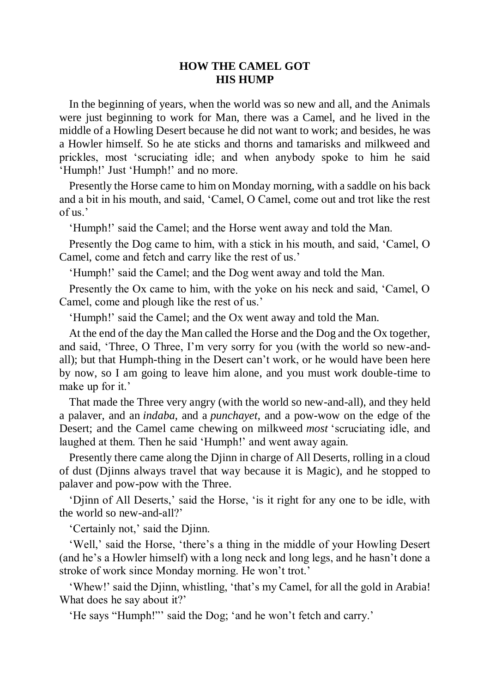## **HOW THE CAMEL GOT HIS HUMP**

In the beginning of years, when the world was so new and all, and the Animals were just beginning to work for Man, there was a Camel, and he lived in the middle of a Howling Desert because he did not want to work; and besides, he was a Howler himself. So he ate sticks and thorns and tamarisks and milkweed and prickles, most 'scruciating idle; and when anybody spoke to him he said 'Humph!' Just 'Humph!' and no more.

Presently the Horse came to him on Monday morning, with a saddle on his back and a bit in his mouth, and said, 'Camel, O Camel, come out and trot like the rest of us.'

'Humph!' said the Camel; and the Horse went away and told the Man.

Presently the Dog came to him, with a stick in his mouth, and said, 'Camel, O Camel, come and fetch and carry like the rest of us.'

'Humph!' said the Camel; and the Dog went away and told the Man.

Presently the Ox came to him, with the yoke on his neck and said, 'Camel, O Camel, come and plough like the rest of us.'

'Humph!' said the Camel; and the Ox went away and told the Man.

At the end of the day the Man called the Horse and the Dog and the Ox together, and said, 'Three, O Three, I'm very sorry for you (with the world so new-andall); but that Humph-thing in the Desert can't work, or he would have been here by now, so I am going to leave him alone, and you must work double-time to make up for it.'

That made the Three very angry (with the world so new-and-all), and they held a palaver, and an *indaba*, and a *punchayet*, and a pow-wow on the edge of the Desert; and the Camel came chewing on milkweed *most* 'scruciating idle, and laughed at them. Then he said 'Humph!' and went away again.

Presently there came along the Djinn in charge of All Deserts, rolling in a cloud of dust (Djinns always travel that way because it is Magic), and he stopped to palaver and pow-pow with the Three.

'Djinn of All Deserts,' said the Horse, 'is it right for any one to be idle, with the world so new-and-all?'

'Certainly not,' said the Djinn.

'Well,' said the Horse, 'there's a thing in the middle of your Howling Desert (and he's a Howler himself) with a long neck and long legs, and he hasn't done a stroke of work since Monday morning. He won't trot.'

'Whew!' said the Djinn, whistling, 'that's my Camel, for all the gold in Arabia! What does he say about it?'

'He says "Humph!"' said the Dog; 'and he won't fetch and carry.'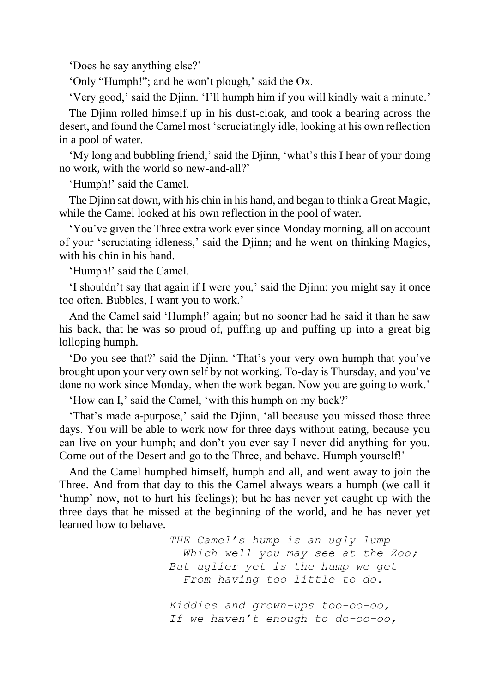'Does he say anything else?'

'Only "Humph!"; and he won't plough,' said the Ox.

'Very good,' said the Djinn. 'I'll humph him if you will kindly wait a minute.'

The Djinn rolled himself up in his dust-cloak, and took a bearing across the desert, and found the Camel most 'scruciatingly idle, looking at his own reflection in a pool of water.

'My long and bubbling friend,' said the Djinn, 'what's this I hear of your doing no work, with the world so new-and-all?'

'Humph!' said the Camel.

The Djinn sat down, with his chin in his hand, and began to think a Great Magic, while the Camel looked at his own reflection in the pool of water.

'You've given the Three extra work ever since Monday morning, all on account of your 'scruciating idleness,' said the Djinn; and he went on thinking Magics, with his chin in his hand.

'Humph!' said the Camel.

'I shouldn't say that again if I were you,' said the Djinn; you might say it once too often. Bubbles, I want you to work.'

And the Camel said 'Humph!' again; but no sooner had he said it than he saw his back, that he was so proud of, puffing up and puffing up into a great big lolloping humph.

'Do you see that?' said the Djinn. 'That's your very own humph that you've brought upon your very own self by not working. To-day is Thursday, and you've done no work since Monday, when the work began. Now you are going to work.'

'How can I,' said the Camel, 'with this humph on my back?'

'That's made a-purpose,' said the Djinn, 'all because you missed those three days. You will be able to work now for three days without eating, because you can live on your humph; and don't you ever say I never did anything for you. Come out of the Desert and go to the Three, and behave. Humph yourself!'

And the Camel humphed himself, humph and all, and went away to join the Three. And from that day to this the Camel always wears a humph (we call it 'hump' now, not to hurt his feelings); but he has never yet caught up with the three days that he missed at the beginning of the world, and he has never yet learned how to behave.

> *THE Camel's hump is an ugly lump Which well you may see at the Zoo; But uglier yet is the hump we get From having too little to do.*

 *Kiddies and grown-ups too-oo-oo, If we haven't enough to do-oo-oo,*